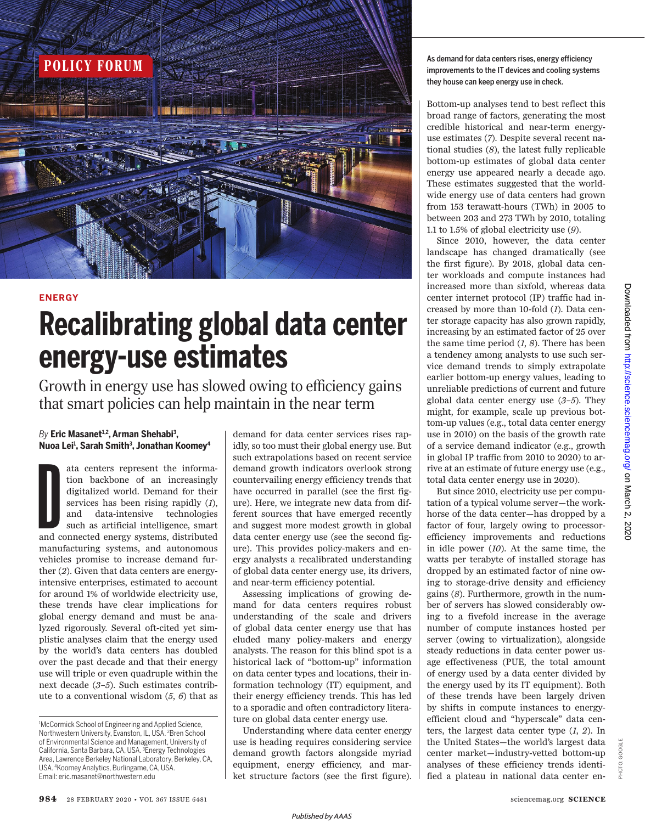

## **ENERGY**

# **Recalibrating global data center energy-use estimates**

Growth in energy use has slowed owing to efficiency gains that smart policies can help maintain in the near term

## *By* **Eric Masanet1,2, Arman Shehabi<sup>3</sup> , Nuoa Lei<sup>1</sup> , Sarah Smith<sup>3</sup> , Jonathan Koomey<sup>4</sup>**

ata centers represent the informa-<br>tion backbone of an increasingly<br>digitalized world. Demand for their<br>services has been rising rapidly (1),<br>and data-intensive technologies<br>such as artificial intelligence, smart<br>and conne tion backbone of an increasingly digitalized world. Demand for their services has been rising rapidly (*1*), and data-intensive technologies such as artificial intelligence, smart manufacturing systems, and autonomous vehicles promise to increase demand further (*2*). Given that data centers are energyintensive enterprises, estimated to account for around 1% of worldwide electricity use, these trends have clear implications for global energy demand and must be analyzed rigorously. Several oft-cited yet simplistic analyses claim that the energy used by the world's data centers has doubled over the past decade and that their energy use will triple or even quadruple within the next decade (*3*–*5*). Such estimates contribute to a conventional wisdom (*5*, *6*) that as

demand for data center services rises rapidly, so too must their global energy use. But such extrapolations based on recent service demand growth indicators overlook strong countervailing energy efficiency trends that have occurred in parallel (see the first figure). Here, we integrate new data from different sources that have emerged recently and suggest more modest growth in global data center energy use (see the second figure). This provides policy-makers and energy analysts a recalibrated understanding of global data center energy use, its drivers, and near-term efficiency potential.

Assessing implications of growing demand for data centers requires robust understanding of the scale and drivers of global data center energy use that has eluded many policy-makers and energy analysts. The reason for this blind spot is a historical lack of "bottom-up" information on data center types and locations, their information technology (IT) equipment, and their energy efficiency trends. This has led to a sporadic and often contradictory literature on global data center energy use.

Understanding where data center energy use is heading requires considering service demand growth factors alongside myriad equipment, energy efficiency, and market structure factors (see the first figure). they house can keep energy use in check.

Bottom-up analyses tend to best reflect this broad range of factors, generating the most credible historical and near-term energyuse estimates (*7*). Despite several recent national studies (*8*), the latest fully replicable bottom-up estimates of global data center energy use appeared nearly a decade ago. These estimates suggested that the worldwide energy use of data centers had grown from 153 terawatt-hours (TWh) in 2005 to between 203 and 273 TWh by 2010, totaling 1.1 to 1.5% of global electricity use (*9*).

Since 2010, however, the data center landscape has changed dramatically (see the first figure). By 2018, global data center workloads and compute instances had increased more than sixfold, whereas data center internet protocol (IP) traffic had increased by more than 10-fold (*1*). Data center storage capacity has also grown rapidly, increasing by an estimated factor of 25 over the same time period  $(1, 8)$ . There has been a tendency among analysts to use such service demand trends to simply extrapolate earlier bottom-up energy values, leading to unreliable predictions of current and future global data center energy use (*3*–*5*). They might, for example, scale up previous bottom-up values (e.g., total data center energy use in 2010) on the basis of the growth rate of a service demand indicator (e.g., growth in global IP traffic from 2010 to 2020) to arrive at an estimate of future energy use (e.g., total data center energy use in 2020).

But since 2010, electricity use per computation of a typical volume server—the workhorse of the data center—has dropped by a factor of four, largely owing to processorefficiency improvements and reductions in idle power (*10*). At the same time, the watts per terabyte of installed storage has dropped by an estimated factor of nine owing to storage-drive density and efficiency gains (*8*). Furthermore, growth in the number of servers has slowed considerably owing to a fivefold increase in the average number of compute instances hosted per server (owing to virtualization), alongside steady reductions in data center power usage effectiveness (PUE, the total amount of energy used by a data center divided by the energy used by its IT equipment). Both of these trends have been largely driven by shifts in compute instances to energyefficient cloud and "hyperscale" data centers, the largest data center type (*1*, *2*). In the United States—the world's largest data center market—industry-vetted bottom-up analyses of these efficiency trends identified a plateau in national data center en-

PHOTO: GOOGLE

PHOTO:

<sup>&</sup>lt;sup>1</sup>McCormick School of Engineering and Applied Science, Northwestern University, Evanston, IL, USA. <sup>2</sup>Bren School of Environmental Science and Management, University of California, Santa Barbara, CA, USA. <sup>3</sup>Energy Technologies Area, Lawrence Berkeley National Laboratory, Berkeley, CA, USA. <sup>4</sup>Koomey Analytics, Burlingame, CA, USA. Email: eric.masanet@northwestern.edu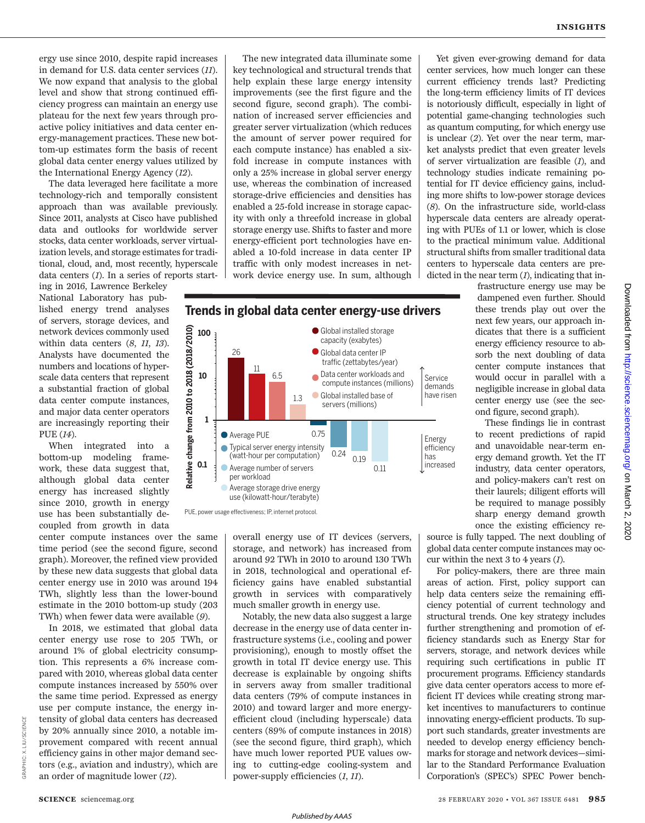ergy use since 2010, despite rapid increases in demand for U.S. data center services (*11*). We now expand that analysis to the global level and show that strong continued efficiency progress can maintain an energy use plateau for the next few years through proactive policy initiatives and data center energy-management practices. These new bottom-up estimates form the basis of recent global data center energy values utilized by the International Energy Agency (*12*).

The data leveraged here facilitate a more technology-rich and temporally consistent approach than was available previously. Since 2011, analysts at Cisco have published data and outlooks for worldwide server stocks, data center workloads, server virtualization levels, and storage estimates for traditional, cloud, and, most recently, hyperscale data centers (*1*). In a series of reports start-

ing in 2016, Lawrence Berkeley National Laboratory has published energy trend analyses of servers, storage devices, and network devices commonly used within data centers (*8*, *11*, *13*). Analysts have documented the numbers and locations of hyperscale data centers that represent a substantial fraction of global data center compute instances, and major data center operators are increasingly reporting their PUE (*14*).

When integrated into a bottom-up modeling framework, these data suggest that, although global data center energy has increased slightly since 2010, growth in energy use has been substantially decoupled from growth in data

center compute instances over the same time period (see the second figure, second graph). Moreover, the refined view provided by these new data suggests that global data center energy use in 2010 was around 194 TWh, slightly less than the lower-bound estimate in the 2010 bottom-up study (203 TWh) when fewer data were available (*9*).

In 2018, we estimated that global data center energy use rose to 205 TWh, or around 1% of global electricity consumption. This represents a 6% increase compared with 2010, whereas global data center compute instances increased by 550% over the same time period. Expressed as energy use per compute instance, the energy intensity of global data centers has decreased by 20% annually since 2010, a notable improvement compared with recent annual efficiency gains in other major demand sectors (e.g., aviation and industry), which are an order of magnitude lower (*12*).

The new integrated data illuminate some key technological and structural trends that help explain these large energy intensity improvements (see the first figure and the second figure, second graph). The combination of increased server efficiencies and greater server virtualization (which reduces the amount of server power required for each compute instance) has enabled a sixfold increase in compute instances with only a 25% increase in global server energy use, whereas the combination of increased storage-drive efficiencies and densities has enabled a 25-fold increase in storage capacity with only a threefold increase in global storage energy use. Shifts to faster and more energy-efficient port technologies have enabled a 10-fold increase in data center IP traffic with only modest increases in network device energy use. In sum, although



PUE, power usage efectiveness; IP, internet protocol.

overall energy use of IT devices (servers, storage, and network) has increased from around 92 TWh in 2010 to around 130 TWh in 2018, technological and operational efficiency gains have enabled substantial growth in services with comparatively much smaller growth in energy use.

Notably, the new data also suggest a large decrease in the energy use of data center infrastructure systems (i.e., cooling and power provisioning), enough to mostly offset the growth in total IT device energy use. This decrease is explainable by ongoing shifts in servers away from smaller traditional data centers (79% of compute instances in 2010) and toward larger and more energyefficient cloud (including hyperscale) data centers (89% of compute instances in 2018) (see the second figure, third graph), which have much lower reported PUE values owing to cutting-edge cooling-system and power-supply efficiencies (*1*, *11*).

Yet given ever-growing demand for data center services, how much longer can these current efficiency trends last? Predicting the long-term efficiency limits of IT devices is notoriously difficult, especially in light of potential game-changing technologies such as quantum computing, for which energy use is unclear (*2*). Yet over the near term, market analysts predict that even greater levels of server virtualization are feasible (*1*), and technology studies indicate remaining potential for IT device efficiency gains, including more shifts to low-power storage devices (*8*). On the infrastructure side, world-class hyperscale data centers are already operating with PUEs of 1.1 or lower, which is close to the practical minimum value. Additional structural shifts from smaller traditional data centers to hyperscale data centers are predicted in the near term (*1*), indicating that in-

frastructure energy use may be dampened even further. Should these trends play out over the next few years, our approach indicates that there is a sufficient energy efficiency resource to absorb the next doubling of data center compute instances that would occur in parallel with a negligible increase in global data center energy use (see the second figure, second graph).

These findings lie in contrast to recent predictions of rapid and unavoidable near-term energy demand growth. Yet the IT industry, data center operators, and policy-makers can't rest on their laurels; diligent efforts will be required to manage possibly sharp energy demand growth once the existing efficiency re-

source is fully tapped. The next doubling of global data center compute instances may occur within the next 3 to 4 years (*1*).

For policy-makers, there are three main areas of action. First, policy support can help data centers seize the remaining efficiency potential of current technology and structural trends. One key strategy includes further strengthening and promotion of efficiency standards such as Energy Star for servers, storage, and network devices while requiring such certifications in public IT procurement programs. Efficiency standards give data center operators access to more efficient IT devices while creating strong market incentives to manufacturers to continue innovating energy-efficient products. To support such standards, greater investments are needed to develop energy efficiency benchmarks for storage and network devices—similar to the Standard Performance Evaluation Corporation's (SPEC's) SPEC Power bench-

GRAPHIC: X. LIU/*SCIENCE*

GRAPHIC: X.

LIU/SCIENCE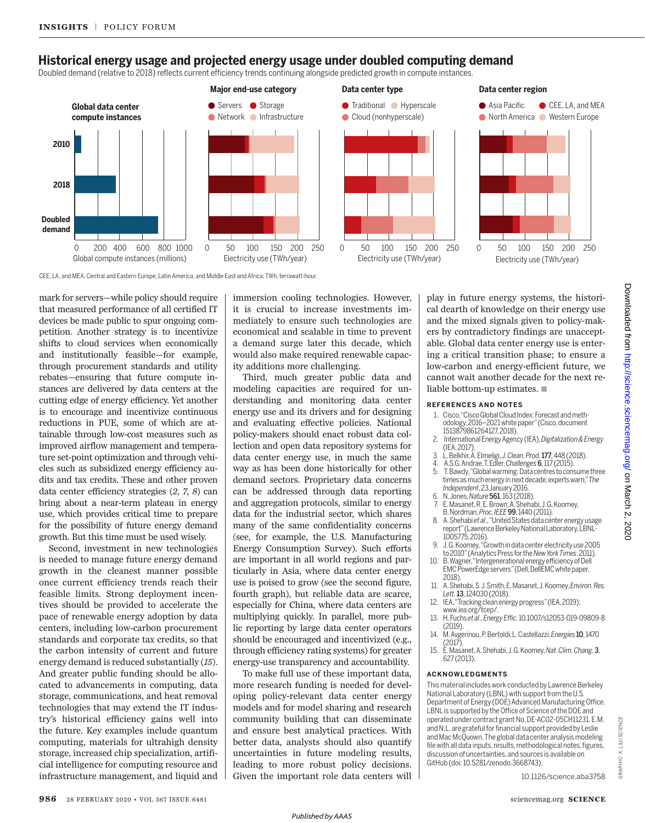# **Historical energy usage and projected energy usage under doubled computing demand**

Doubled demand (relative to 2018) reflects current efficiency trends continuing alongside predicted growth in compute instances.







CEE, LA, and MEA, Central and Eastern Europe, Latin America, and Middle East and Africa; TWh, terrawatt-hour.

mark for servers—while policy should require that measured performance of all certified IT devices be made public to spur ongoing competition. Another strategy is to incentivize shifts to cloud services when economically and institutionally feasible—for example, through procurement standards and utility rebates—ensuring that future compute instances are delivered by data centers at the cutting edge of energy efficiency. Yet another is to encourage and incentivize continuous reductions in PUE, some of which are attainable through low-cost measures such as improved airflow management and temperature set-point optimization and through vehicles such as subsidized energy efficiency audits and tax credits. These and other proven data center efficiency strategies (*2*, *7*, *8*) can bring about a near-term plateau in energy use, which provides critical time to prepare for the possibility of future energy demand growth. But this time must be used wisely.

Second, investment in new technologies is needed to manage future energy demand growth in the cleanest manner possible once current efficiency trends reach their feasible limits. Strong deployment incentives should be provided to accelerate the pace of renewable energy adoption by data centers, including low-carbon procurement standards and corporate tax credits, so that the carbon intensity of current and future energy demand is reduced substantially (*15*). And greater public funding should be allocated to advancements in computing, data storage, communications, and heat removal technologies that may extend the IT industry's historical efficiency gains well into the future. Key examples include quantum computing, materials for ultrahigh density storage, increased chip specialization, artificial intelligence for computing resource and infrastructure management, and liquid and immersion cooling technologies. However, it is crucial to increase investments immediately to ensure such technologies are economical and scalable in time to prevent a demand surge later this decade, which would also make required renewable capacity additions more challenging.

Third, much greater public data and modeling capacities are required for understanding and monitoring data center energy use and its drivers and for designing and evaluating effective policies. National policy-makers should enact robust data collection and open data repository systems for data center energy use, in much the same way as has been done historically for other demand sectors. Proprietary data concerns can be addressed through data reporting and aggregation protocols, similar to energy data for the industrial sector, which shares many of the same confidentiality concerns (see, for example, the U.S. Manufacturing Energy Consumption Survey). Such efforts are important in all world regions and particularly in Asia, where data center energy use is poised to grow (see the second figure, fourth graph), but reliable data are scarce, especially for China, where data centers are multiplying quickly. In parallel, more public reporting by large data center operators should be encouraged and incentivized (e.g., through efficiency rating systems) for greater energy-use transparency and accountability.

To make full use of these important data, more research funding is needed for developing policy-relevant data center energy models and for model sharing and research community building that can disseminate and ensure best analytical practices. With better data, analysts should also quantify uncertainties in future modeling results, leading to more robust policy decisions. Given the important role data centers will

play in future energy systems, the historical dearth of knowledge on their energy use and the mixed signals given to policy-makers by contradictory findings are unacceptable. Global data center energy use is entering a critical transition phase; to ensure a low-carbon and energy-efficient future, we cannot wait another decade for the next reliable bottom-up estimates.  $\blacksquare$ 

#### **REFERENCES AND NOTES**

- 1. Cisco, "Cisco Global Cloud Index: Forecast and methodology, 2016–2021 white paper" (Cisco, document 1513879861264127, 2018).
- 2. International Energy Agency (IEA), *Digitalization & Energy* (IEA, 2017).
- 3. L. Belkhir, A. Elmeligi, *J. Clean. Prod.*177, 448 (2018).
- 4. A.S.G. Andrae, T. Edler, *Challenges*6, 117 (2015).
- 5. T. Bawdy, "Global warming: Data centres to consume three times as much energy in next decade, experts warn," *The Independent*, 23 January 2016.
- 6. N. Jones, *Nature*561, 163 (2018).
- 7. E. Masanet, R. E. Brown, A. Shehabi, J. G. Koomey, B. Nordman, *Proc. IEEE*99, 1440 (2011).
- 8. A. Shehabi et al., "United States data center energy usage report" (Lawrence Berkeley National Laboratory, LBNL-1005775, 2016).
- 9. J. G. Koomey, "Growth in data center electricity use 2005 to 2010" (Analytics Press for the *New York Times*, 2011).
- 10. B. Wagner, "Intergenerational energy efficiency of Dell EMC PowerEdge servers" (Dell, DellEMC white paper, 2018).
- 11. A. Shehabi, S. J. Smith, E. Masanet, J. Koomey, *Environ. Res. Lett.*13, 124030 (2018).
- 12. IEA, "Tracking clean energy progress" (IEA, 2019); www.iea.org/tcep/.
- 13. H. Fuchs *et al*., *Energy Effic.* 10.1007/s12053-019-09809-8 (2019).
- 14. M. Avgerinou, P. Bertoldi, L. Castellazzi, *Energies* 10, 1470 (2017).
- 15. E. Masanet, A. Shehabi, J. G. Koomey, *Nat. Clim. Chang.*3, 627 (2013).

### **ACKNOWLEDGMENTS**

This material includes work conducted by Lawrence Berkeley National Laboratory (LBNL) with support from the U.S. Department of Energy (DOE) Advanced Manufacturing Office. LBNL is supported by the Office of Science of the DOE and operated under contract grant No. DE-AC02-05CH11231. E.M. and N.L. are grateful for financial support provided by Leslie and Mac McQuown. The global data center analysis modeling file with all data inputs, results, methodological notes, figures, discussion of uncertainties, and sources is available on GitHub (doi: 10.5281/zenodo.3668743 ).

10.1126/science.aba3758

GRAPHIC: X. LIU/*SCIENCE*

GRAPHIC: X.

LIU/SC/ENCE